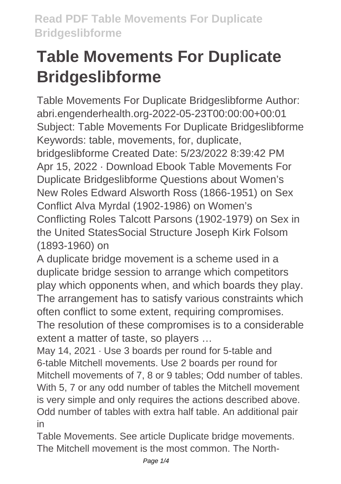## **Table Movements For Duplicate Bridgeslibforme**

Table Movements For Duplicate Bridgeslibforme Author: abri.engenderhealth.org-2022-05-23T00:00:00+00:01 Subject: Table Movements For Duplicate Bridgeslibforme Keywords: table, movements, for, duplicate, bridgeslibforme Created Date: 5/23/2022 8:39:42 PM Apr 15, 2022 · Download Ebook Table Movements For Duplicate Bridgeslibforme Questions about Women's New Roles Edward Alsworth Ross (1866-1951) on Sex Conflict Alva Myrdal (1902-1986) on Women's Conflicting Roles Talcott Parsons (1902-1979) on Sex in the United StatesSocial Structure Joseph Kirk Folsom (1893-1960) on

A duplicate bridge movement is a scheme used in a duplicate bridge session to arrange which competitors play which opponents when, and which boards they play. The arrangement has to satisfy various constraints which often conflict to some extent, requiring compromises.

The resolution of these compromises is to a considerable extent a matter of taste, so players …

May 14, 2021 · Use 3 boards per round for 5-table and 6-table Mitchell movements. Use 2 boards per round for Mitchell movements of 7, 8 or 9 tables; Odd number of tables. With 5, 7 or any odd number of tables the Mitchell movement is very simple and only requires the actions described above. Odd number of tables with extra half table. An additional pair in

Table Movements. See article Duplicate bridge movements. The Mitchell movement is the most common. The North-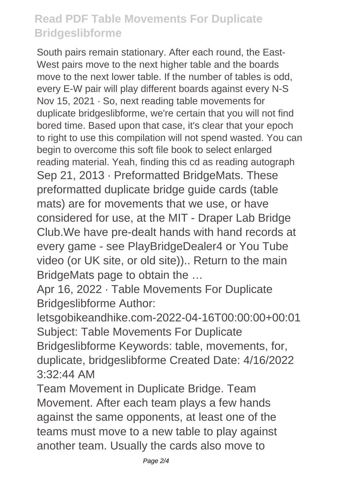## **Read PDF Table Movements For Duplicate Bridgeslibforme**

South pairs remain stationary. After each round, the East-West pairs move to the next higher table and the boards move to the next lower table. If the number of tables is odd, every E-W pair will play different boards against every N-S Nov 15, 2021 · So, next reading table movements for duplicate bridgeslibforme, we're certain that you will not find bored time. Based upon that case, it's clear that your epoch to right to use this compilation will not spend wasted. You can begin to overcome this soft file book to select enlarged reading material. Yeah, finding this cd as reading autograph Sep 21, 2013 · Preformatted BridgeMats. These preformatted duplicate bridge guide cards (table mats) are for movements that we use, or have considered for use, at the MIT - Draper Lab Bridge Club.We have pre-dealt hands with hand records at every game - see PlayBridgeDealer4 or You Tube video (or UK site, or old site)).. Return to the main BridgeMats page to obtain the …

Apr 16, 2022 · Table Movements For Duplicate Bridgeslibforme Author:

letsgobikeandhike.com-2022-04-16T00:00:00+00:01 Subject: Table Movements For Duplicate Bridgeslibforme Keywords: table, movements, for, duplicate, bridgeslibforme Created Date: 4/16/2022 3:32:44 AM

Team Movement in Duplicate Bridge. Team Movement. After each team plays a few hands against the same opponents, at least one of the teams must move to a new table to play against another team. Usually the cards also move to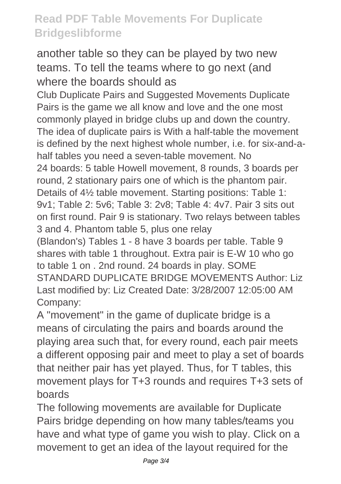## **Read PDF Table Movements For Duplicate Bridgeslibforme**

another table so they can be played by two new teams. To tell the teams where to go next (and where the boards should as

Club Duplicate Pairs and Suggested Movements Duplicate Pairs is the game we all know and love and the one most commonly played in bridge clubs up and down the country. The idea of duplicate pairs is With a half-table the movement is defined by the next highest whole number, i.e. for six-and-ahalf tables you need a seven-table movement. No 24 boards: 5 table Howell movement, 8 rounds, 3 boards per round, 2 stationary pairs one of which is the phantom pair. Details of 4½ table movement. Starting positions: Table 1: 9v1; Table 2: 5v6; Table 3: 2v8; Table 4: 4v7. Pair 3 sits out on first round. Pair 9 is stationary. Two relays between tables 3 and 4. Phantom table 5, plus one relay (Blandon's) Tables 1 - 8 have 3 boards per table. Table 9 shares with table 1 throughout. Extra pair is E-W 10 who go to table 1 on . 2nd round. 24 boards in play. SOME STANDARD DUPLICATE BRIDGE MOVEMENTS Author: Liz

Last modified by: Liz Created Date: 3/28/2007 12:05:00 AM Company:

A "movement" in the game of duplicate bridge is a means of circulating the pairs and boards around the playing area such that, for every round, each pair meets a different opposing pair and meet to play a set of boards that neither pair has yet played. Thus, for T tables, this movement plays for T+3 rounds and requires T+3 sets of boards

The following movements are available for Duplicate Pairs bridge depending on how many tables/teams you have and what type of game you wish to play. Click on a movement to get an idea of the layout required for the